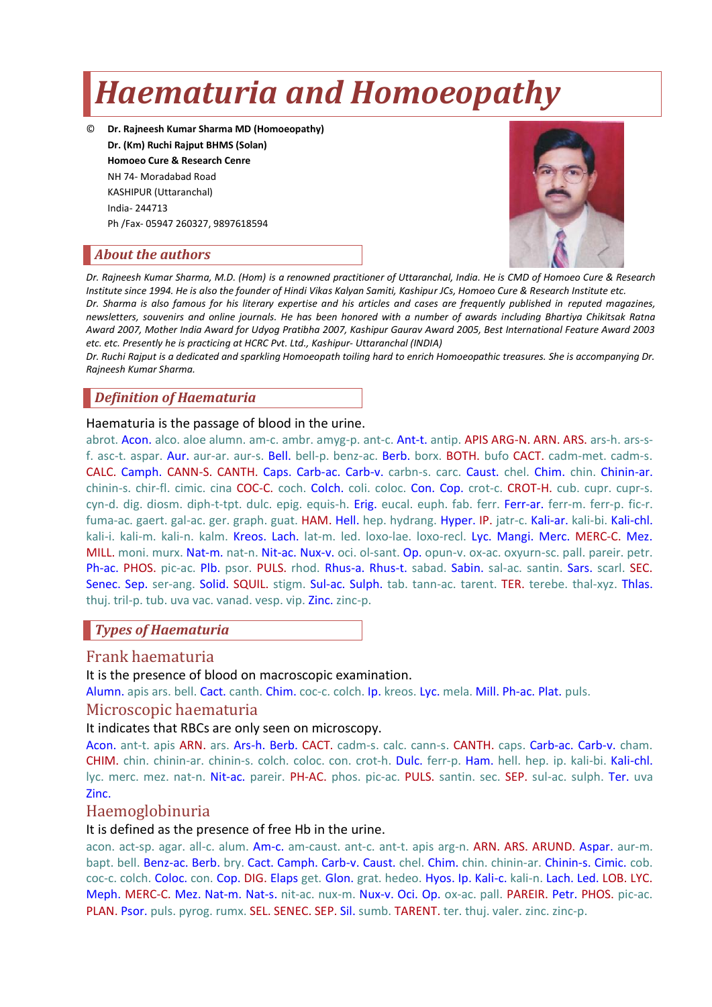# *Haematuria and Homoeopathy*

© **Dr. Rajneesh Kumar Sharma MD (Homoeopathy) Dr. (Km) Ruchi Rajput BHMS (Solan) Homoeo Cure & Research Cenre** NH 74- Moradabad Road KASHIPUR (Uttaranchal) India- 244713 Ph /Fax- 05947 260327, 9897618594



### *About the authors*

*Dr. Rajneesh Kumar Sharma, M.D. (Hom) is a renowned practitioner of Uttaranchal, India. He is CMD of Homoeo Cure & Research Institute since 1994. He is also the founder of Hindi Vikas Kalyan Samiti, Kashipur JCs, Homoeo Cure & Research Institute etc. Dr. Sharma is also famous for his literary expertise and his articles and cases are frequently published in reputed magazines, newsletters, souvenirs and online journals. He has been honored with a number of awards including Bhartiya Chikitsak Ratna Award 2007, Mother India Award for Udyog Pratibha 2007, Kashipur Gaurav Award 2005, Best International Feature Award 2003 etc. etc. Presently he is practicing at HCRC Pvt. Ltd., Kashipur- Uttaranchal (INDIA)*

*Dr. Ruchi Rajput is a dedicated and sparkling Homoeopath toiling hard to enrich Homoeopathic treasures. She is accompanying Dr. Rajneesh Kumar Sharma.*

### *Definition of Haematuria*

#### Haematuria is the passage of blood in the urine.

abrot. Acon. alco. aloe alumn. am-c. ambr. amyg-p. ant-c. Ant-t. antip. APIS ARG-N. ARN. ARS. ars-h. ars-sf. asc-t. aspar. Aur. aur-ar. aur-s. Bell. bell-p. benz-ac. Berb. borx. BOTH. bufo CACT. cadm-met. cadm-s. CALC. Camph. CANN-S. CANTH. Caps. Carb-ac. Carb-v. carbn-s. carc. Caust. chel. Chim. chin. Chinin-ar. chinin-s. chir-fl. cimic. cina COC-C. coch. Colch. coli. coloc. Con. Cop. crot-c. CROT-H. cub. cupr. cupr-s. cyn-d. dig. diosm. diph-t-tpt. dulc. epig. equis-h. Erig. eucal. euph. fab. ferr. Ferr-ar. ferr-m. ferr-p. fic-r. fuma-ac. gaert. gal-ac. ger. graph. guat. HAM. Hell. hep. hydrang. Hyper. IP. jatr-c. Kali-ar. kali-bi. Kali-chl. kali-i. kali-m. kali-n. kalm. Kreos. Lach. lat-m. led. loxo-lae. loxo-recl. Lyc. Mangi. Merc. MERC-C. Mez. MILL. moni. murx. Nat-m. nat-n. Nit-ac. Nux-v. oci. ol-sant. Op. opun-v. ox-ac. oxyurn-sc. pall. pareir. petr. Ph-ac. PHOS. pic-ac. Plb. psor. PULS. rhod. Rhus-a. Rhus-t. sabad. Sabin. sal-ac. santin. Sars. scarl. SEC. Senec. Sep. ser-ang. Solid. SQUIL. stigm. Sul-ac. Sulph. tab. tann-ac. tarent. TER. terebe. thal-xyz. Thlas. thuj. tril-p. tub. uva vac. vanad. vesp. vip. Zinc. zinc-p.

### *Types of Haematuria*

### Frank haematuria

#### It is the presence of blood on macroscopic examination.

Alumn. apis ars. bell. Cact. canth. Chim. coc-c. colch. Ip. kreos. Lyc. mela. Mill. Ph-ac. Plat. puls.

### Microscopic haematuria

#### It indicates that RBCs are only seen on microscopy.

Acon. ant-t. apis ARN. ars. Ars-h. Berb. CACT. cadm-s. calc. cann-s. CANTH. caps. Carb-ac. Carb-v. cham. CHIM. chin. chinin-ar. chinin-s. colch. coloc. con. crot-h. Dulc. ferr-p. Ham. hell. hep. ip. kali-bi. Kali-chl. lyc. merc. mez. nat-n. Nit-ac. pareir. PH-AC. phos. pic-ac. PULS. santin. sec. SEP. sul-ac. sulph. Ter. uva Zinc.

### Haemoglobinuria

### It is defined as the presence of free Hb in the urine.

acon. act-sp. agar. all-c. alum. Am-c. am-caust. ant-c. ant-t. apis arg-n. ARN. ARS. ARUND. Aspar. aur-m. bapt. bell. Benz-ac. Berb. bry. Cact. Camph. Carb-v. Caust. chel. Chim. chin. chinin-ar. Chinin-s. Cimic. cob. coc-c. colch. Coloc. con. Cop. DIG. Elaps get. Glon. grat. hedeo. Hyos. Ip. Kali-c. kali-n. Lach. Led. LOB. LYC. Meph. MERC-C. Mez. Nat-m. Nat-s. nit-ac. nux-m. Nux-v. Oci. Op. ox-ac. pall. PAREIR. Petr. PHOS. pic-ac. PLAN. Psor. puls. pyrog. rumx. SEL. SENEC. SEP. Sil. sumb. TARENT. ter. thuj. valer. zinc. zinc-p.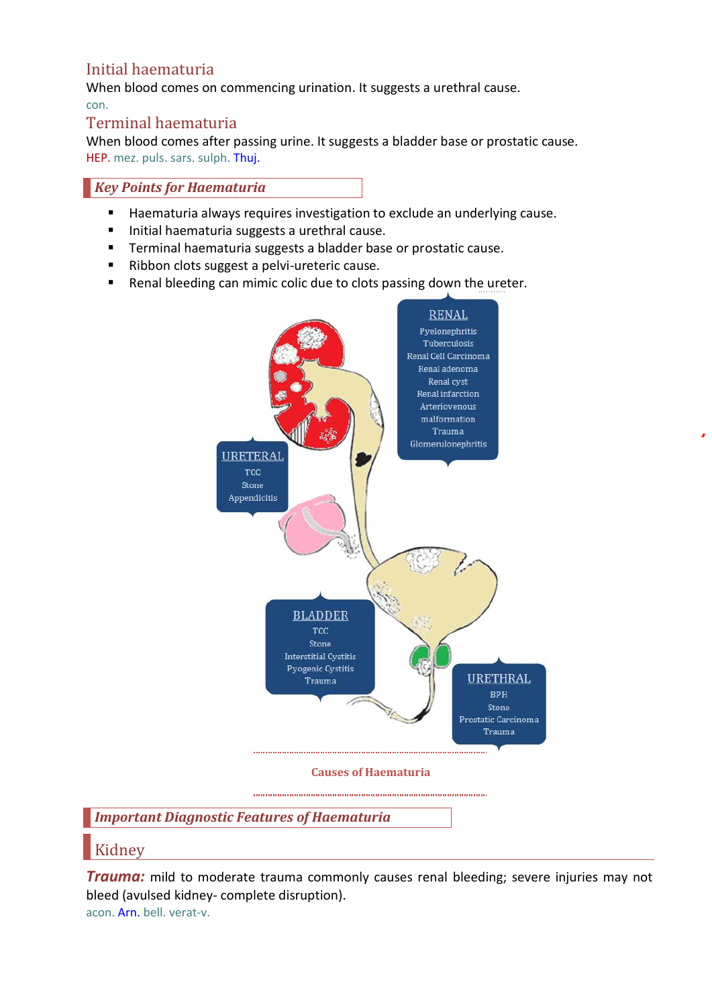### Initial haematuria

When blood comes on commencing urination. It suggests a urethral cause. con.

### Terminal haematuria

When blood comes after passing urine. It suggests a bladder base or prostatic cause. HEP. mez. puls. sars. sulph. Thuj.

### *Key Points for Haematuria*

- **Haematuria always requires investigation to exclude an underlying cause.**
- Initial haematuria suggests a urethral cause.
- **Terminal haematuria suggests a bladder base or prostatic cause.**
- Ribbon clots suggest a pelvi-ureteric cause.
- Renal bleeding can mimic colic due to clots passing down the ureter.



**Causes of Haematuria** 

### *Important Diagnostic Features of Haematuria*

### Kidney

*Trauma:* mild to moderate trauma commonly causes renal bleeding; severe injuries may not bleed (avulsed kidney- complete disruption). acon. Arn. bell. verat-v.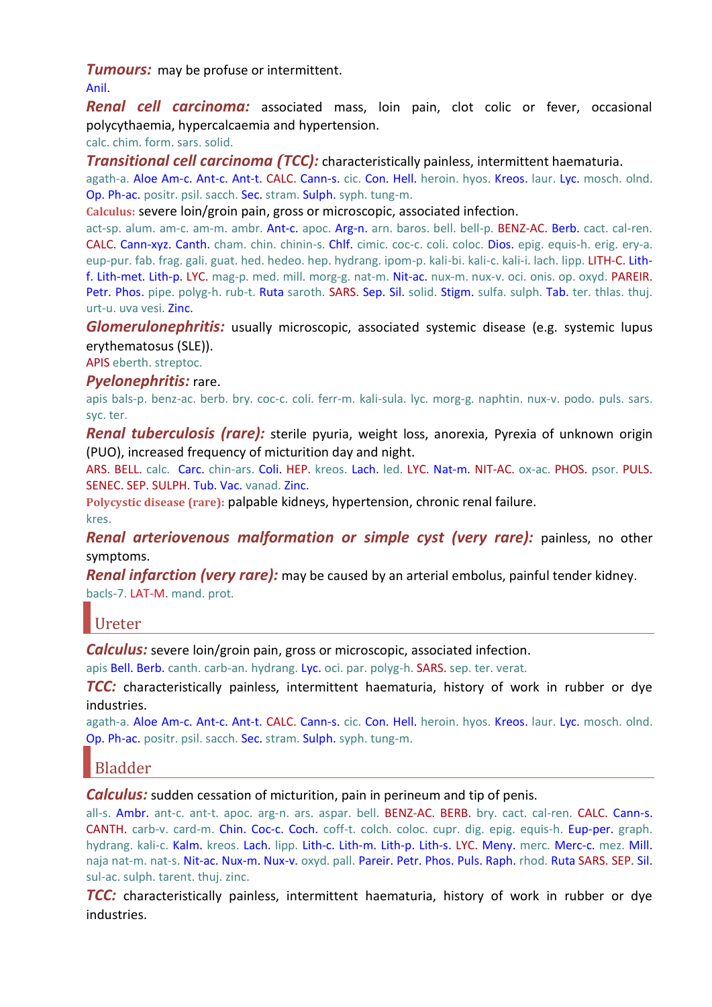**Tumours:** may be profuse or intermittent.

Anil.

*Renal cell carcinoma:* associated mass, loin pain, clot colic or fever, occasional polycythaemia, hypercalcaemia and hypertension.

calc. chim. form. sars. solid.

*Transitional cell carcinoma (TCC):* characteristically painless, intermittent haematuria.

agath-a. Aloe Am-c. Ant-c. Ant-t. CALC. Cann-s. cic. Con. Hell. heroin. hyos. Kreos. laur. Lyc. mosch. olnd. Op. Ph-ac. positr. psil. sacch. Sec. stram. Sulph. syph. tung-m.

**Calculus:** severe loin/groin pain, gross or microscopic, associated infection.

act-sp. alum. am-c. am-m. ambr. Ant-c. apoc. Arg-n. arn. baros. bell. bell-p. BENZ-AC. Berb. cact. cal-ren. CALC. Cann-xyz. Canth. cham. chin. chinin-s. Chlf. cimic. coc-c. coli. coloc. Dios. epig. equis-h. erig. ery-a. eup-pur. fab. frag. gali. guat. hed. hedeo. hep. hydrang. ipom-p. kali-bi. kali-c. kali-i. lach. lipp. LITH-C. Lithf. Lith-met. Lith-p. LYC. mag-p. med. mill. morg-g. nat-m. Nit-ac. nux-m. nux-v. oci. onis. op. oxyd. PAREIR. Petr. Phos. pipe. polyg-h. rub-t. Ruta saroth. SARS. Sep. Sil. solid. Stigm. sulfa. sulph. Tab. ter. thlas. thuj. urt-u. uva vesi. Zinc.

*Glomerulonephritis:* usually microscopic, associated systemic disease (e.g. systemic lupus erythematosus (SLE)).

APIS eberth. streptoc.

### *Pyelonephritis:* rare.

apis bals-p. benz-ac. berb. bry. coc-c. coli. ferr-m. kali-sula. lyc. morg-g. naphtin. nux-v. podo. puls. sars. syc. ter.

*Renal tuberculosis (rare):* sterile pyuria, weight loss, anorexia, Pyrexia of unknown origin (PUO), increased frequency of micturition day and night.

ARS. BELL. calc. Carc. chin-ars. Coli. HEP. kreos. Lach. led. LYC. Nat-m. NIT-AC. ox-ac. PHOS. psor. PULS. SENEC. SEP. SULPH. Tub. Vac. vanad. Zinc.

**Polycystic disease (rare):** palpable kidneys, hypertension, chronic renal failure. kres.

*Renal arteriovenous malformation or simple cyst (very rare):* painless, no other symptoms.

*Renal infarction (very rare):* may be caused by an arterial embolus, painful tender kidney. bacls-7. LAT-M. mand. prot.

### Ureter

*Calculus:* severe loin/groin pain, gross or microscopic, associated infection.

apis Bell. Berb. canth. carb-an. hydrang. Lyc. oci. par. polyg-h. SARS. sep. ter. verat.

*TCC:* characteristically painless, intermittent haematuria, history of work in rubber or dye industries.

agath-a. Aloe Am-c. Ant-c. Ant-t. CALC. Cann-s. cic. Con. Hell. heroin. hyos. Kreos. laur. Lyc. mosch. olnd. Op. Ph-ac. positr. psil. sacch. Sec. stram. Sulph. syph. tung-m.

## Bladder

### *Calculus:* sudden cessation of micturition, pain in perineum and tip of penis.

all-s. Ambr. ant-c. ant-t. apoc. arg-n. ars. aspar. bell. BENZ-AC. BERB. bry. cact. cal-ren. CALC. Cann-s. CANTH. carb-v. card-m. Chin. Coc-c. Coch. coff-t. colch. coloc. cupr. dig. epig. equis-h. Eup-per. graph. hydrang. kali-c. Kalm. kreos. Lach. lipp. Lith-c. Lith-m. Lith-p. Lith-s. LYC. Meny. merc. Merc-c. mez. Mill. naja nat-m. nat-s. Nit-ac. Nux-m. Nux-v. oxyd. pall. Pareir. Petr. Phos. Puls. Raph. rhod. Ruta SARS. SEP. Sil. sul-ac. sulph. tarent. thuj. zinc.

*TCC:* characteristically painless, intermittent haematuria, history of work in rubber or dye industries.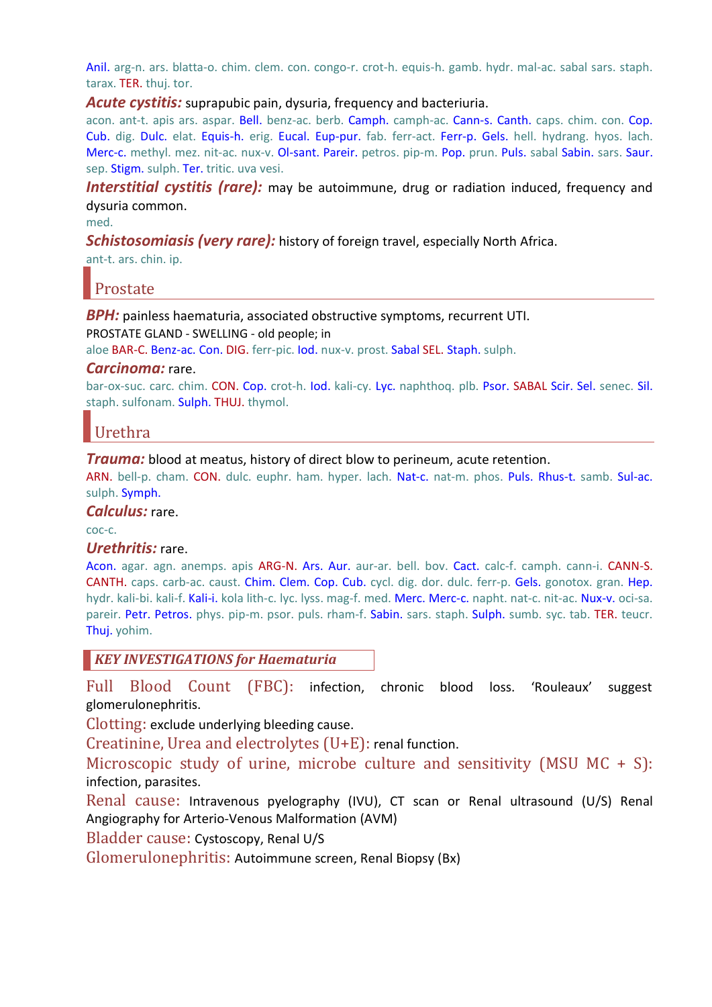Anil. arg-n. ars. blatta-o. chim. clem. con. congo-r. crot-h. equis-h. gamb. hydr. mal-ac. sabal sars. staph. tarax. TER. thuj. tor.

#### *Acute cystitis:* suprapubic pain, dysuria, frequency and bacteriuria.

acon. ant-t. apis ars. aspar. Bell. benz-ac. berb. Camph. camph-ac. Cann-s. Canth. caps. chim. con. Cop. Cub. dig. Dulc. elat. Equis-h. erig. Eucal. Eup-pur. fab. ferr-act. Ferr-p. Gels. hell. hydrang. hyos. lach. Merc-c. methyl. mez. nit-ac. nux-v. Ol-sant. Pareir. petros. pip-m. Pop. prun. Puls. sabal Sabin. sars. Saur. sep. Stigm. sulph. Ter. tritic. uva vesi.

**Interstitial cystitis (rare):** may be autoimmune, drug or radiation induced, frequency and dysuria common.

med.

**Schistosomiasis (very rare):** history of foreign travel, especially North Africa.

ant-t. ars. chin. ip.

## Prostate

*BPH:* painless haematuria, associated obstructive symptoms, recurrent UTI.

PROSTATE GLAND - SWELLING - old people; in

aloe BAR-C. Benz-ac. Con. DIG. ferr-pic. Iod. nux-v. prost. Sabal SEL. Staph. sulph.

#### *Carcinoma:* rare.

bar-ox-suc. carc. chim. CON. Cop. crot-h. Iod. kali-cy. Lyc. naphthoq. plb. Psor. SABAL Scir. Sel. senec. Sil. staph. sulfonam. Sulph. THUJ. thymol.

## Urethra

*Trauma:* blood at meatus, history of direct blow to perineum, acute retention.

ARN. bell-p. cham. CON. dulc. euphr. ham. hyper. lach. Nat-c. nat-m. phos. Puls. Rhus-t. samb. Sul-ac. sulph. Symph.

### *Calculus:* rare.

coc-c.

### *Urethritis:* rare.

Acon. agar. agn. anemps. apis ARG-N. Ars. Aur. aur-ar. bell. bov. Cact. calc-f. camph. cann-i. CANN-S. CANTH. caps. carb-ac. caust. Chim. Clem. Cop. Cub. cycl. dig. dor. dulc. ferr-p. Gels. gonotox. gran. Hep. hydr. kali-bi. kali-f. Kali-i. kola lith-c. lyc. lyss. mag-f. med. Merc. Merc-c. napht. nat-c. nit-ac. Nux-v. oci-sa. pareir. Petr. Petros. phys. pip-m. psor. puls. rham-f. Sabin. sars. staph. Sulph. sumb. syc. tab. TER. teucr. Thuj. yohim.

*KEY INVESTIGATIONS for Haematuria*

Full Blood Count (FBC): infection, chronic blood loss. 'Rouleaux' suggest glomerulonephritis.

Clotting: exclude underlying bleeding cause.

Creatinine, Urea and electrolytes (U+E): renal function.

Microscopic study of urine, microbe culture and sensitivity (MSU  $MC + S$ ): infection, parasites.

Renal cause: Intravenous pyelography (IVU), CT scan or Renal ultrasound (U/S) Renal Angiography for Arterio-Venous Malformation (AVM)

Bladder cause: Cystoscopy, Renal U/S

Glomerulonephritis: Autoimmune screen, Renal Biopsy (Bx)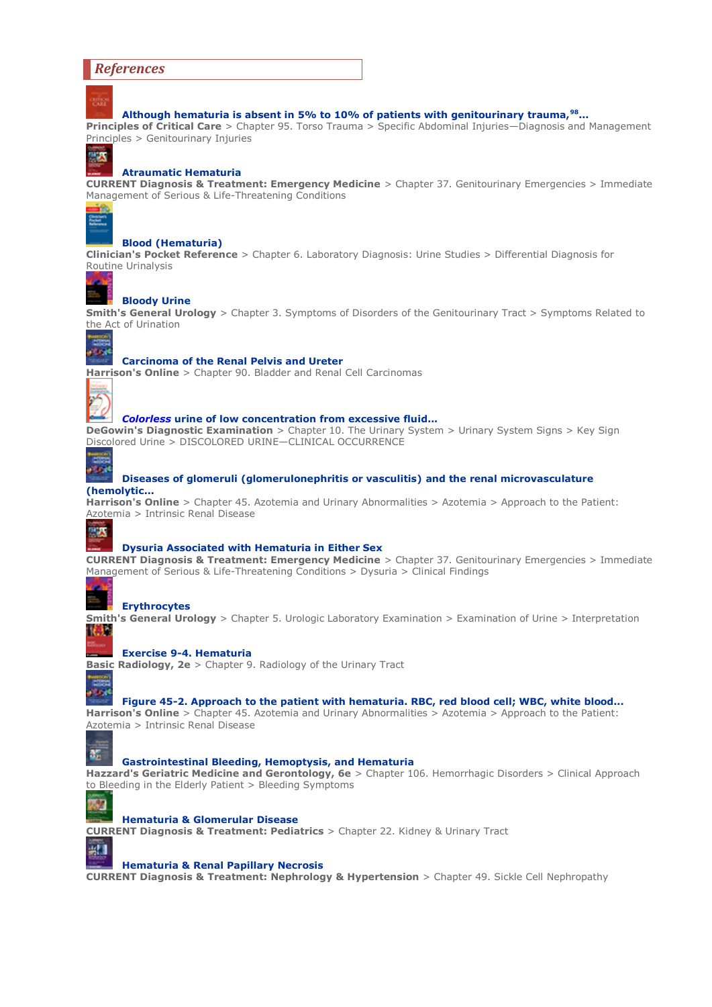#### *References*

**Although hematuria is absent in 5% to 10% of patients with genitourinary trauma,<sup>98</sup> ...**

**Principles of Critical Care** > Chapter 95. Torso Trauma > Specific Abdominal Injuries—Diagnosis and Management Principles > Genitourinary Injuries

### 中央

#### **Atraumatic Hematuria**

**CURRENT Diagnosis & Treatment: Emergency Medicine** > Chapter 37. Genitourinary Emergencies > Immediate Management of Serious & Life-Threatening Conditions



#### **Blood (Hematuria)**

**Clinician's Pocket Reference** > Chapter 6. Laboratory Diagnosis: Urine Studies > Differential Diagnosis for Routine Urinalysis



#### **Bloody Urine**

**Smith's General Urology** > Chapter 3. Symptoms of Disorders of the Genitourinary Tract > Symptoms Related to the Act of Urination



#### **Carcinoma of the Renal Pelvis and Ureter**

**Harrison's Online** > Chapter 90. Bladder and Renal Cell Carcinomas



#### *Colorless* **urine of low concentration from excessive fluid...**

**DeGowin's Diagnostic Examination** > Chapter 10. The Urinary System > Urinary System Signs > Key Sign Discolored Urine > DISCOLORED URINE—CLINICAL OCCURRENCE



#### **Diseases of glomeruli (glomerulonephritis or vasculitis) and the renal microvasculature (hemolytic...**

**Harrison's Online** > Chapter 45. Azotemia and Urinary Abnormalities > Azotemia > Approach to the Patient: Azotemia > Intrinsic Renal Disease



#### **Dysuria Associated with Hematuria in Either Sex**

**CURRENT Diagnosis & Treatment: Emergency Medicine** > Chapter 37. Genitourinary Emergencies > Immediate Management of Serious & Life-Threatening Conditions > Dysuria > Clinical Findings

**Erythrocytes Smith's General Urology** > Chapter 5. Urologic Laboratory Examination > Examination of Urine > Interpretation 【模型



**Basic Radiology, 2e** > Chapter 9. Radiology of the Urinary Tract

#### **Figure 45-2. Approach to the patient with hematuria. RBC, red blood cell; WBC, white blood...**

**Harrison's Online** > Chapter 45. Azotemia and Urinary Abnormalities > Azotemia > Approach to the Patient: Azotemia > Intrinsic Renal Disease



T. فتعالم

#### **Gastrointestinal Bleeding, Hemoptysis, and Hematuria**

**Hazzard's Geriatric Medicine and Gerontology, 6e** > Chapter 106. Hemorrhagic Disorders > Clinical Approach to Bleeding in the Elderly Patient > Bleeding Symptoms



#### **Hematuria & Glomerular Disease**

**CURRENT Diagnosis & Treatment: Pediatrics** > Chapter 22. Kidney & Urinary Tract



#### **Hematuria & Renal Papillary Necrosis**

**CURRENT Diagnosis & Treatment: Nephrology & Hypertension** > Chapter 49. Sickle Cell Nephropathy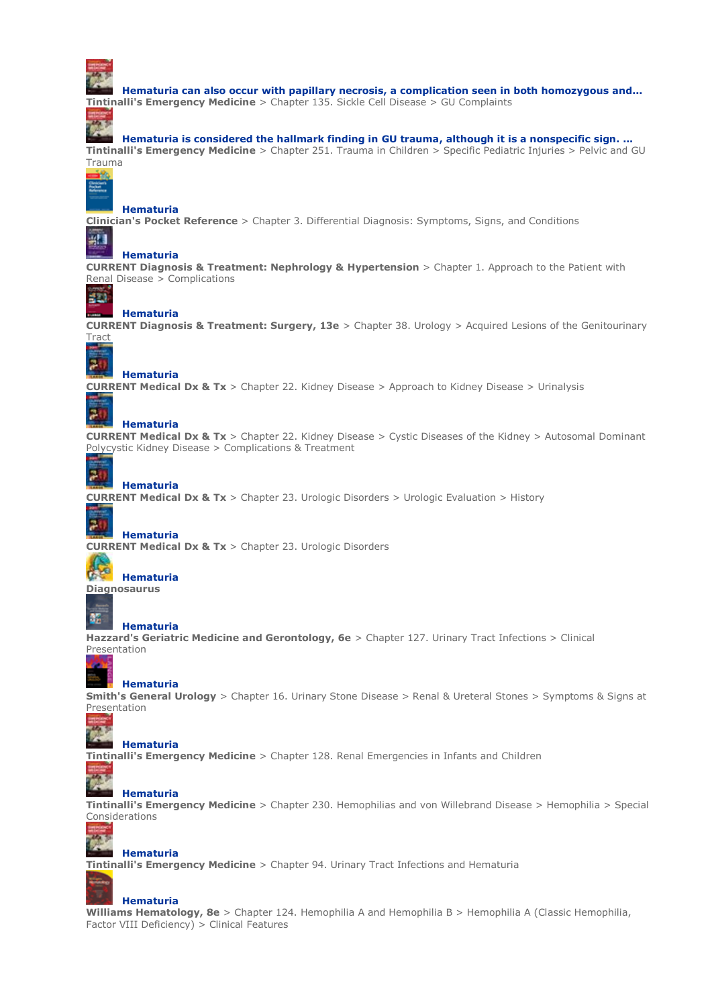

ær

**Hematuria can also occur with papillary necrosis, a complication seen in both homozygous and... Tintinalli's Emergency Medicine** > Chapter 135. Sickle Cell Disease > GU Complaints

### **Hematuria is considered the hallmark finding in GU trauma, although it is a nonspecific sign. ...**

**Tintinalli's Emergency Medicine** > Chapter 251. Trauma in Children > Specific Pediatric Injuries > Pelvic and GU Trauma

 $\frac{1}{2}$ 

#### **Hematuria**

**Clinician's Pocket Reference** > Chapter 3. Differential Diagnosis: Symptoms, Signs, and Conditions

#### 49 **Hematuria**

**CURRENT Diagnosis & Treatment: Nephrology & Hypertension** > Chapter 1. Approach to the Patient with Renal Disease > Complications

#### **Hematuria**

**CURRENT Diagnosis & Treatment: Surgery, 13e** > Chapter 38. Urology > Acquired Lesions of the Genitourinary **Tract** 



HE)

#### **Hematuria**

**Hematuria**

**CURRENT Medical Dx & Tx** > Chapter 22. Kidney Disease > Approach to Kidney Disease > Urinalysis

## 20

**CURRENT Medical Dx & Tx** > Chapter 22. Kidney Disease > Cystic Diseases of the Kidney > Autosomal Dominant Polycystic Kidney Disease > Complications & Treatment

#### 20 **Hematuria**

**CURRENT Medical Dx & Tx** > Chapter 23. Urologic Disorders > Urologic Evaluation > History

#### 71 **Hematuria**

**CURRENT Medical Dx & Tx** > Chapter 23. Urologic Disorders



#### **Hematuria Diagnosaurus**

龞

#### **Hematuria**

**Hazzard's Geriatric Medicine and Gerontology, 6e** > Chapter 127. Urinary Tract Infections > Clinical Presentation

**Hematuria Smith's General Urology** > Chapter 16. Urinary Stone Disease > Renal & Ureteral Stones > Symptoms & Signs at Presentation



#### **Hematuria**

**Tintinalli's Emergency Medicine** > Chapter 128. Renal Emergencies in Infants and Children

#### ports.  $\mathcal{L}_{\mathcal{L}}$ **Hematuria**

**Tintinalli's Emergency Medicine** > Chapter 230. Hemophilias and von Willebrand Disease > Hemophilia > Special Considerations



#### **Hematuria**

**Tintinalli's Emergency Medicine** > Chapter 94. Urinary Tract Infections and Hematuria

### **Hematuria**

**Williams Hematology, 8e** > Chapter 124. Hemophilia A and Hemophilia B > Hemophilia A (Classic Hemophilia, Factor VIII Deficiency) > Clinical Features